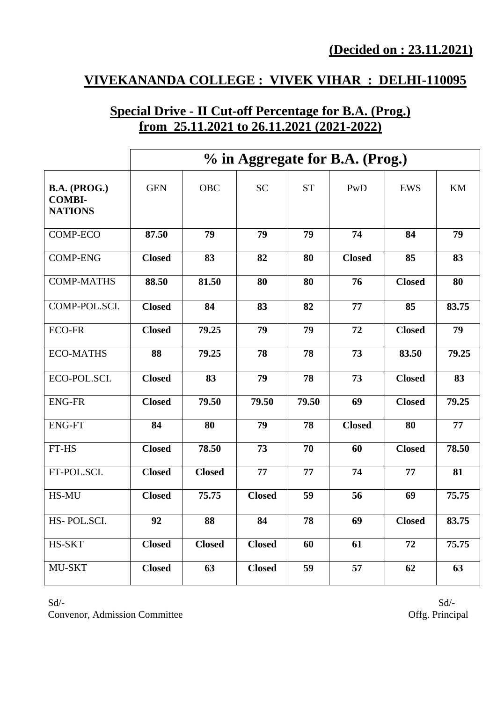# **VIVEKANANDA COLLEGE : VIVEK VIHAR : DELHI-110095**

# **Special Drive - II Cut-off Percentage for B.A. (Prog.) from 25.11.2021 to 26.11.2021 (2021-2022)**

|                                                 | % in Aggregate for B.A. (Prog.) |               |               |           |               |               |       |
|-------------------------------------------------|---------------------------------|---------------|---------------|-----------|---------------|---------------|-------|
| B.A. (PROG.)<br><b>COMBI-</b><br><b>NATIONS</b> | <b>GEN</b>                      | <b>OBC</b>    | <b>SC</b>     | <b>ST</b> | PwD           | <b>EWS</b>    | KM    |
| <b>COMP-ECO</b>                                 | 87.50                           | 79            | 79            | 79        | 74            | 84            | 79    |
| <b>COMP-ENG</b>                                 | <b>Closed</b>                   | 83            | 82            | 80        | <b>Closed</b> | 85            | 83    |
| <b>COMP-MATHS</b>                               | 88.50                           | 81.50         | 80            | 80        | 76            | <b>Closed</b> | 80    |
| COMP-POL.SCI.                                   | <b>Closed</b>                   | 84            | 83            | 82        | 77            | 85            | 83.75 |
| <b>ECO-FR</b>                                   | <b>Closed</b>                   | 79.25         | 79            | 79        | 72            | <b>Closed</b> | 79    |
| <b>ECO-MATHS</b>                                | 88                              | 79.25         | 78            | 78        | 73            | 83.50         | 79.25 |
| ECO-POL.SCI.                                    | <b>Closed</b>                   | 83            | 79            | 78        | 73            | <b>Closed</b> | 83    |
| <b>ENG-FR</b>                                   | <b>Closed</b>                   | 79.50         | 79.50         | 79.50     | 69            | <b>Closed</b> | 79.25 |
| <b>ENG-FT</b>                                   | 84                              | 80            | 79            | 78        | <b>Closed</b> | 80            | 77    |
| FT-HS                                           | <b>Closed</b>                   | 78.50         | 73            | 70        | 60            | <b>Closed</b> | 78.50 |
| FT-POL.SCI.                                     | <b>Closed</b>                   | <b>Closed</b> | 77            | 77        | 74            | 77            | 81    |
| HS-MU                                           | <b>Closed</b>                   | 75.75         | <b>Closed</b> | 59        | 56            | 69            | 75.75 |
| HS-POL.SCI.                                     | 92                              | 88            | 84            | 78        | 69            | <b>Closed</b> | 83.75 |
| HS-SKT                                          | <b>Closed</b>                   | <b>Closed</b> | <b>Closed</b> | 60        | 61            | 72            | 75.75 |
| MU-SKT                                          | <b>Closed</b>                   | 63            | <b>Closed</b> | 59        | 57            | 62            | 63    |

 $Sd$ - $Sd$ -Convenor, Admission Committee Offg. Principal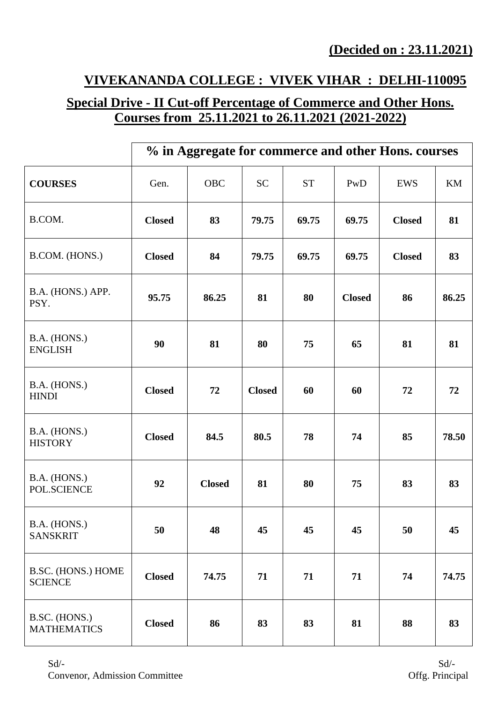# **VIVEKANANDA COLLEGE : VIVEK VIHAR : DELHI-110095**

# **Special Drive - II Cut-off Percentage of Commerce and Other Hons. Courses from 25.11.2021 to 26.11.2021 (2021-2022)**

|                                      | % in Aggregate for commerce and other Hons. courses |               |               |           |               |               |       |
|--------------------------------------|-----------------------------------------------------|---------------|---------------|-----------|---------------|---------------|-------|
| <b>COURSES</b>                       | Gen.                                                | OBC           | <b>SC</b>     | <b>ST</b> | PwD           | <b>EWS</b>    | KM    |
| B.COM.                               | <b>Closed</b>                                       | 83            | 79.75         | 69.75     | 69.75         | <b>Closed</b> | 81    |
| B.COM. (HONS.)                       | <b>Closed</b>                                       | 84            | 79.75         | 69.75     | 69.75         | <b>Closed</b> | 83    |
| B.A. (HONS.) APP.<br>PSY.            | 95.75                                               | 86.25         | 81            | 80        | <b>Closed</b> | 86            | 86.25 |
| B.A. (HONS.)<br><b>ENGLISH</b>       | 90                                                  | 81            | 80            | 75        | 65            | 81            | 81    |
| B.A. (HONS.)<br><b>HINDI</b>         | <b>Closed</b>                                       | 72            | <b>Closed</b> | 60        | 60            | 72            | 72    |
| B.A. (HONS.)<br><b>HISTORY</b>       | <b>Closed</b>                                       | 84.5          | 80.5          | 78        | 74            | 85            | 78.50 |
| B.A. (HONS.)<br>POL.SCIENCE          | 92                                                  | <b>Closed</b> | 81            | 80        | 75            | 83            | 83    |
| B.A. (HONS.)<br><b>SANSKRIT</b>      | 50                                                  | 48            | 45            | 45        | 45            | 50            | 45    |
| B.SC. (HONS.) HOME<br><b>SCIENCE</b> | <b>Closed</b>                                       | 74.75         | 71            | 71        | 71            | 74            | 74.75 |
| B.SC. (HONS.)<br><b>MATHEMATICS</b>  | <b>Closed</b>                                       | 86            | 83            | 83        | 81            | 88            | 83    |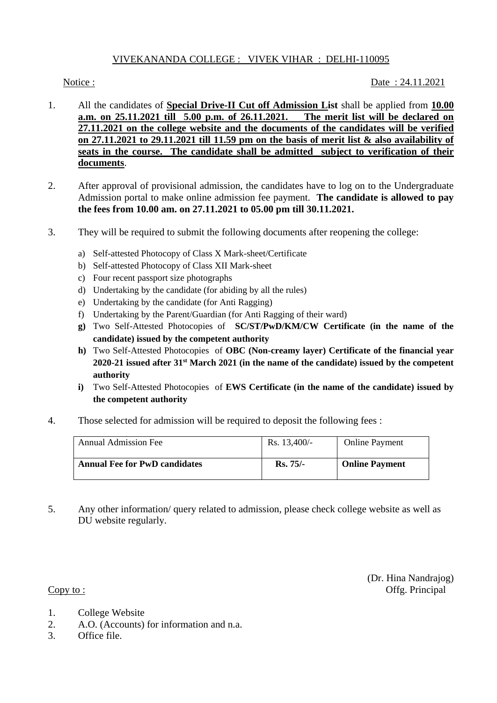### VIVEKANANDA COLLEGE : VIVEK VIHAR : DELHI-110095

Notice : 24.11.2021

- 1. All the candidates of **Special Drive-II Cut off Admission List** shall be applied from **10.00 a.m. on 25.11.2021 till 5.00 p.m. of 26.11.2021. The merit list will be declared on 27.11.2021 on the college website and the documents of the candidates will be verified on 27.11.2021 to 29.11.2021 till 11.59 pm on the basis of merit list & also availability of seats in the course. The candidate shall be admitted subject to verification of their documents**.
- 2. After approval of provisional admission, the candidates have to log on to the Undergraduate Admission portal to make online admission fee payment. **The candidate is allowed to pay the fees from 10.00 am. on 27.11.2021 to 05.00 pm till 30.11.2021.**
- 3. They will be required to submit the following documents after reopening the college:
	- a) Self-attested Photocopy of Class X Mark-sheet/Certificate
	- b) Self-attested Photocopy of Class XII Mark-sheet
	- c) Four recent passport size photographs
	- d) Undertaking by the candidate (for abiding by all the rules)
	- e) Undertaking by the candidate (for Anti Ragging)
	- f) Undertaking by the Parent/Guardian (for Anti Ragging of their ward)
	- **g)** Two Self-Attested Photocopies of **SC/ST/PwD/KM/CW Certificate (in the name of the candidate) issued by the competent authority**
	- **h)** Two Self-Attested Photocopies of **OBC (Non-creamy layer) Certificate of the financial year 2020-21 issued after 31st March 2021 (in the name of the candidate) issued by the competent authority**
	- **i)** Two Self-Attested Photocopies of **EWS Certificate (in the name of the candidate) issued by the competent authority**
- 4. Those selected for admission will be required to deposit the following fees :

| <b>Annual Admission Fee</b>          | Rs. $13,400/-$  | <b>Online Payment</b> |
|--------------------------------------|-----------------|-----------------------|
| <b>Annual Fee for PwD candidates</b> | <b>Rs.</b> 75/- | <b>Online Payment</b> |

5. Any other information/ query related to admission, please check college website as well as DU website regularly.

(Dr. Hina Nandrajog) Copy to : Offg. Principal

- 1. College Website
- 2. A.O. (Accounts) for information and n.a.
- 3. Office file.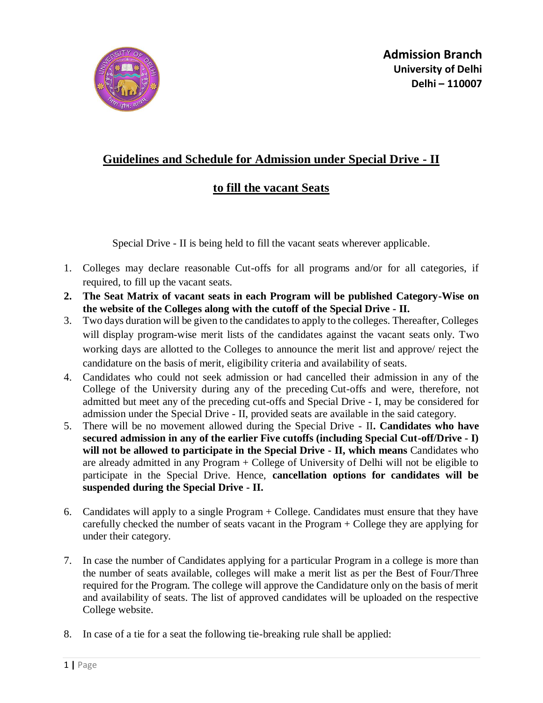

## **Guidelines and Schedule for Admission under Special Drive - II**

## **to fill the vacant Seats**

Special Drive - II is being held to fill the vacant seats wherever applicable.

- 1. Colleges may declare reasonable Cut-offs for all programs and/or for all categories, if required, to fill up the vacant seats.
- **2. The Seat Matrix of vacant seats in each Program will be published Category-Wise on the website of the Colleges along with the cutoff of the Special Drive - II.**
- 3. Two days duration will be given to the candidates to apply to the colleges. Thereafter, Colleges will display program-wise merit lists of the candidates against the vacant seats only. Two working days are allotted to the Colleges to announce the merit list and approve/ reject the candidature on the basis of merit, eligibility criteria and availability of seats.
- 4. Candidates who could not seek admission or had cancelled their admission in any of the College of the University during any of the preceding Cut-offs and were, therefore, not admitted but meet any of the preceding cut-offs and Special Drive - I, may be considered for admission under the Special Drive - II, provided seats are available in the said category.
- 5. There will be no movement allowed during the Special Drive II**. Candidates who have secured admission in any of the earlier Five cutoffs (including Special Cut-off/Drive - I) will not be allowed to participate in the Special Drive - II, which means** Candidates who are already admitted in any Program + College of University of Delhi will not be eligible to participate in the Special Drive. Hence, **cancellation options for candidates will be suspended during the Special Drive - II.**
- 6. Candidates will apply to a single Program + College. Candidates must ensure that they have carefully checked the number of seats vacant in the Program + College they are applying for under their category.
- 7. In case the number of Candidates applying for a particular Program in a college is more than the number of seats available, colleges will make a merit list as per the Best of Four/Three required for the Program. The college will approve the Candidature only on the basis of merit and availability of seats. The list of approved candidates will be uploaded on the respective College website.
- 8. In case of a tie for a seat the following tie-breaking rule shall be applied: